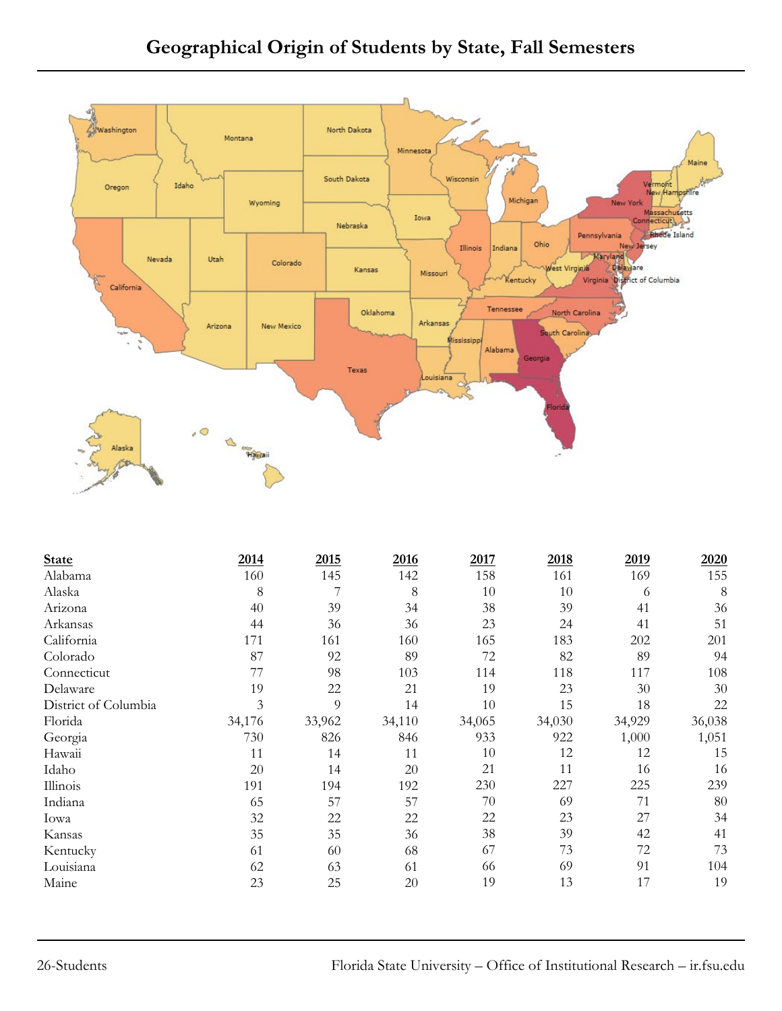

| <b>State</b>         | 2014   | 2015   | 2016   | 2017   | 2018   | 2019   | 2020   |
|----------------------|--------|--------|--------|--------|--------|--------|--------|
| Alabama              | 160    | 145    | 142    | 158    | 161    | 169    | 155    |
| Alaska               | 8      |        | $8\,$  | 10     | 10     | 6      | 8      |
| Arizona              | 40     | 39     | 34     | 38     | 39     | 41     | 36     |
| Arkansas             | 44     | 36     | 36     | 23     | 24     | 41     | 51     |
| California           | 171    | 161    | 160    | 165    | 183    | 202    | 201    |
| Colorado             | 87     | 92     | 89     | 72     | 82     | 89     | 94     |
| Connecticut          | 77     | 98     | 103    | 114    | 118    | 117    | 108    |
| Delaware             | 19     | 22     | 21     | 19     | 23     | 30     | 30     |
| District of Columbia | 3      | 9      | 14     | 10     | 15     | 18     | 22     |
| Florida              | 34,176 | 33,962 | 34,110 | 34,065 | 34,030 | 34,929 | 36,038 |
| Georgia              | 730    | 826    | 846    | 933    | 922    | 1,000  | 1,051  |
| Hawaii               | 11     | 14     | 11     | 10     | 12     | 12     | 15     |
| Idaho                | 20     | 14     | 20     | 21     | 11     | 16     | 16     |
| Illinois             | 191    | 194    | 192    | 230    | 227    | 225    | 239    |
| Indiana              | 65     | 57     | 57     | 70     | 69     | 71     | 80     |
| Iowa                 | 32     | 22     | 22     | 22     | 23     | 27     | 34     |
| Kansas               | 35     | 35     | 36     | 38     | 39     | 42     | 41     |
| Kentucky             | 61     | 60     | 68     | 67     | 73     | 72     | 73     |
| Louisiana            | 62     | 63     | 61     | 66     | 69     | 91     | 104    |
| Maine                | 23     | 25     | 20     | 19     | 13     | 17     | 19     |